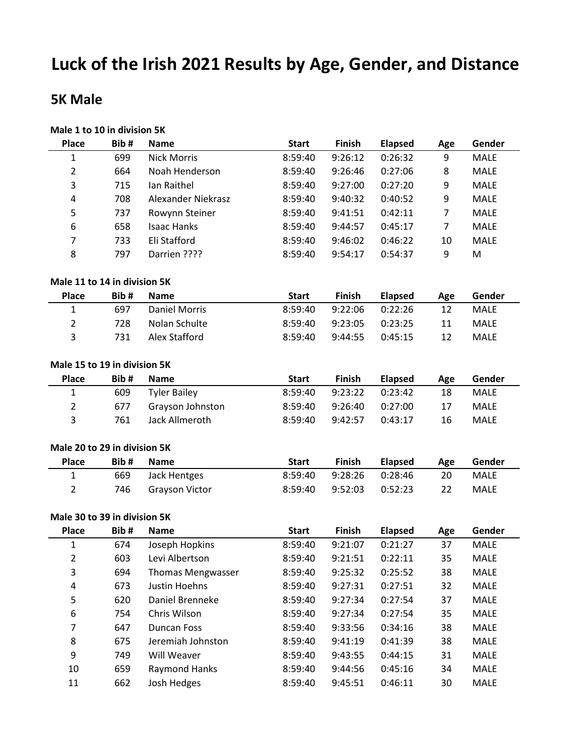# **Luck of the Irish 2021 Results by Age, Gender, and Distance**

### **5K Male**

## **Male 1 to 10 in division 5K**

| <b>Place</b>                 | Bib# | <b>Name</b>               | <b>Start</b> | Finish  | <b>Elapsed</b> | Age            | Gender      |
|------------------------------|------|---------------------------|--------------|---------|----------------|----------------|-------------|
| $\mathbf 1$                  | 699  | <b>Nick Morris</b>        | 8:59:40      | 9:26:12 | 0:26:32        | 9              | <b>MALE</b> |
| $\overline{2}$               | 664  | Noah Henderson            | 8:59:40      | 9:26:46 | 0:27:06        | 8              | <b>MALE</b> |
| 3                            | 715  | Ian Raithel               | 8:59:40      | 9:27:00 | 0:27:20        | 9              | <b>MALE</b> |
| 4                            | 708  | <b>Alexander Niekrasz</b> | 8:59:40      | 9:40:32 | 0:40:52        | 9              | <b>MALE</b> |
| 5                            | 737  | Rowynn Steiner            | 8:59:40      | 9:41:51 | 0:42:11        | $\overline{7}$ | <b>MALE</b> |
| 6                            | 658  | <b>Isaac Hanks</b>        | 8:59:40      | 9:44:57 | 0:45:17        | $\overline{7}$ | <b>MALE</b> |
| 7                            | 733  | Eli Stafford              | 8:59:40      | 9:46:02 | 0:46:22        | 10             | <b>MALE</b> |
| 8                            | 797  | Darrien ????              | 8:59:40      | 9:54:17 | 0:54:37        | 9              | M           |
|                              |      |                           |              |         |                |                |             |
| Male 11 to 14 in division 5K |      |                           |              |         |                |                |             |
| <b>Place</b>                 | Bib# | <b>Name</b>               | <b>Start</b> | Finish  | <b>Elapsed</b> | Age            | Gender      |
| $\mathbf{1}$                 | 697  | <b>Daniel Morris</b>      | 8:59:40      | 9:22:06 | 0:22:26        | 12             | <b>MALE</b> |
| $\overline{2}$               | 728  | Nolan Schulte             | 8:59:40      | 9:23:05 | 0:23:25        | 11             | MALE        |
| 3                            | 731  | Alex Stafford             | 8:59:40      | 9:44:55 | 0:45:15        | 12             | MALE        |
|                              |      |                           |              |         |                |                |             |
| Male 15 to 19 in division 5K |      |                           |              |         |                |                |             |
| <b>Place</b>                 | Bib# | <b>Name</b>               | <b>Start</b> | Finish  | <b>Elapsed</b> | Age            | Gender      |
| $\mathbf{1}$                 | 609  | <b>Tyler Bailey</b>       | 8:59:40      | 9:23:22 | 0:23:42        | 18             | <b>MALE</b> |
| $\overline{2}$               | 677  | Grayson Johnston          | 8:59:40      | 9:26:40 | 0:27:00        | 17             | <b>MALE</b> |
| 3                            | 761  | Jack Allmeroth            | 8:59:40      | 9:42:57 | 0:43:17        | 16             | MALE        |
|                              |      |                           |              |         |                |                |             |
| Male 20 to 29 in division 5K |      |                           |              |         |                |                |             |
| <b>Place</b>                 | Bib# | <b>Name</b>               | <b>Start</b> | Finish  | <b>Elapsed</b> | Age            | Gender      |
| $\mathbf{1}$                 | 669  | Jack Hentges              | 8:59:40      | 9:28:26 | 0:28:46        | 20             | <b>MALE</b> |
| $\overline{2}$               | 746  | <b>Grayson Victor</b>     | 8:59:40      | 9:52:03 | 0:52:23        | 22             | MALE        |
|                              |      |                           |              |         |                |                |             |
| Male 30 to 39 in division 5K |      |                           |              |         |                |                |             |
| <b>Place</b>                 | Bib# | <b>Name</b>               | <b>Start</b> | Finish  | <b>Elapsed</b> | Age            | Gender      |
| 1                            | 674  | Joseph Hopkins            | 8:59:40      | 9:21:07 | 0:21:27        | 37             | <b>MALE</b> |
| 2                            | 603  | Levi Albertson            | 8:59:40      | 9:21:51 | 0:22:11        | 35             | <b>MALE</b> |
| 3                            | 694  | <b>Thomas Mengwasser</b>  | 8:59:40      | 9:25:32 | 0:25:52        | 38             | <b>MALE</b> |
| 4                            | 673  | Justin Hoehns             | 8:59:40      | 9:27:31 | 0:27:51        | 32             | MALE        |
| 5                            | 620  | Daniel Brenneke           | 8:59:40      | 9:27:34 | 0:27:54        | 37             | MALE        |
| 6                            | 754  | Chris Wilson              | 8:59:40      | 9:27:34 | 0:27:54        | 35             | MALE        |
| 7                            | 647  | <b>Duncan Foss</b>        | 8:59:40      | 9:33:56 | 0:34:16        | 38             | MALE        |
| 8                            | 675  | Jeremiah Johnston         | 8:59:40      | 9:41:19 | 0:41:39        | 38             | MALE        |
| 9                            | 749  | Will Weaver               | 8:59:40      | 9:43:55 | 0:44:15        | 31             | MALE        |
| 10                           | 659  | Raymond Hanks             | 8:59:40      | 9:44:56 | 0:45:16        | 34             | MALE        |
| $11\,$                       | 662  | Josh Hedges               | 8:59:40      | 9:45:51 | 0:46:11        | 30             | MALE        |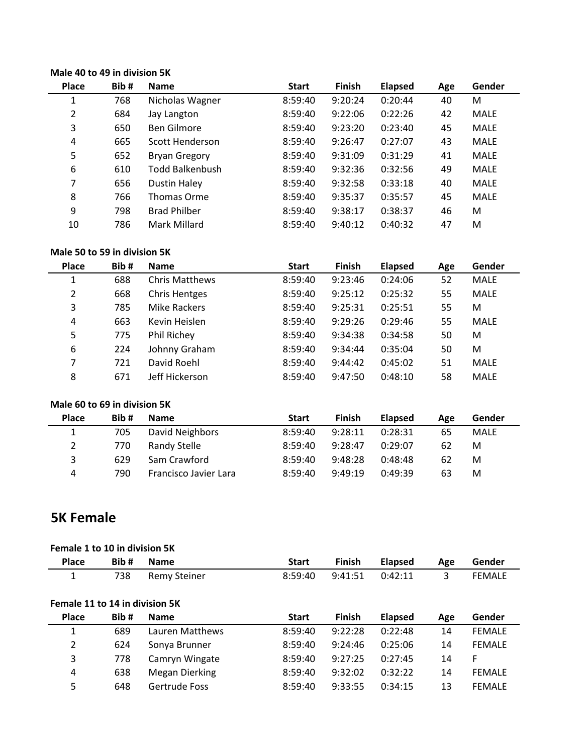#### **Male 40 to 49 in division 5K**

| <b>Place</b> | Bib# | <b>Name</b>          | <b>Start</b> | <b>Finish</b> | <b>Elapsed</b> | Age | Gender      |
|--------------|------|----------------------|--------------|---------------|----------------|-----|-------------|
| 1            | 768  | Nicholas Wagner      | 8:59:40      | 9:20:24       | 0:20:44        | 40  | M           |
| 2            | 684  | Jay Langton          | 8:59:40      | 9:22:06       | 0:22:26        | 42  | MALE        |
| 3            | 650  | <b>Ben Gilmore</b>   | 8:59:40      | 9:23:20       | 0:23:40        | 45  | MALE        |
| 4            | 665  | Scott Henderson      | 8:59:40      | 9:26:47       | 0:27:07        | 43  | <b>MALE</b> |
| 5            | 652  | <b>Bryan Gregory</b> | 8:59:40      | 9:31:09       | 0:31:29        | 41  | <b>MALE</b> |
| 6            | 610  | Todd Balkenbush      | 8:59:40      | 9:32:36       | 0:32:56        | 49  | <b>MALE</b> |
| 7            | 656  | <b>Dustin Haley</b>  | 8:59:40      | 9:32:58       | 0:33:18        | 40  | <b>MALE</b> |
| 8            | 766  | <b>Thomas Orme</b>   | 8:59:40      | 9:35:37       | 0:35:57        | 45  | <b>MALE</b> |
| 9            | 798  | <b>Brad Philber</b>  | 8:59:40      | 9:38:17       | 0:38:37        | 46  | M           |
| 10           | 786  | Mark Millard         | 8:59:40      | 9:40:12       | 0:40:32        | 47  | M           |

#### **Male 50 to 59 in division 5K**

| <b>Place</b>   | Bib# | <b>Name</b>           | <b>Start</b> | <b>Finish</b> | <b>Elapsed</b> | Age | Gender      |
|----------------|------|-----------------------|--------------|---------------|----------------|-----|-------------|
| 1              | 688  | <b>Chris Matthews</b> | 8:59:40      | 9:23:46       | 0:24:06        | 52  | <b>MALE</b> |
| $\overline{2}$ | 668  | <b>Chris Hentges</b>  | 8:59:40      | 9:25:12       | 0:25:32        | 55  | <b>MALE</b> |
| 3              | 785  | <b>Mike Rackers</b>   | 8:59:40      | 9:25:31       | 0:25:51        | 55  | M           |
| 4              | 663  | Kevin Heislen         | 8:59:40      | 9:29:26       | 0:29:46        | 55  | <b>MALE</b> |
| 5              | 775  | Phil Richey           | 8:59:40      | 9:34:38       | 0:34:58        | 50  | M           |
| 6              | 224  | Johnny Graham         | 8:59:40      | 9:34:44       | 0:35:04        | 50  | M           |
| 7              | 721  | David Roehl           | 8:59:40      | 9:44:42       | 0:45:02        | 51  | <b>MALE</b> |
| 8              | 671  | Jeff Hickerson        | 8:59:40      | 9:47:50       | 0:48:10        | 58  | <b>MALE</b> |

#### **Male 60 to 69 in division 5K**

| <b>Place</b>          | Bib# | <b>Name</b>           | <b>Start</b> | Finish  | <b>Elapsed</b> | Age | Gender      |
|-----------------------|------|-----------------------|--------------|---------|----------------|-----|-------------|
| 1                     | 705  | David Neighbors       | 8:59:40      | 9:28:11 | 0:28:31        | 65  | <b>MALE</b> |
| $\mathbf{2}^{\prime}$ | 770  | Randy Stelle          | 8:59:40      | 9:28:47 | 0:29:07        | 62  | M           |
| 3                     | 629  | Sam Crawford          | 8:59:40      | 9:48:28 | 0:48:48        | 62  | M           |
| 4                     | 790  | Francisco Javier Lara | 8:59:40      | 9:49:19 | 0:49:39        | 63  | м           |

### **5K Female**

#### **Female 1 to 10 in division 5K**

| <b>Place</b> | Bib # | <b>Name</b>      | <b>Start</b> |                           | Finish Elapsed | Age Ge         | Gender        |
|--------------|-------|------------------|--------------|---------------------------|----------------|----------------|---------------|
|              |       | 738 Remy Steiner |              | 8:59:40  9:41:51  0:42:11 |                | $\overline{3}$ | <b>FEMALE</b> |

#### **Female 11 to 14 in division 5K**

| <b>Place</b>   | Bib# | <b>Name</b>     | <b>Start</b> | Finish  | <b>Elapsed</b> | Age | Gender        |
|----------------|------|-----------------|--------------|---------|----------------|-----|---------------|
|                | 689  | Lauren Matthews | 8:59:40      | 9:22:28 | 0:22:48        | 14  | <b>FEMALE</b> |
| $\overline{2}$ | 624  | Sonya Brunner   | 8:59:40      | 9:24:46 | 0:25:06        | 14  | <b>FEMALE</b> |
| 3              | 778  | Camryn Wingate  | 8:59:40      | 9:27:25 | 0:27:45        | 14  | F             |
| 4              | 638  | Megan Dierking  | 8:59:40      | 9:32:02 | 0:32:22        | 14  | <b>FEMALE</b> |
| 5              | 648  | Gertrude Foss   | 8:59:40      | 9:33:55 | 0:34:15        | 13  | <b>FEMALE</b> |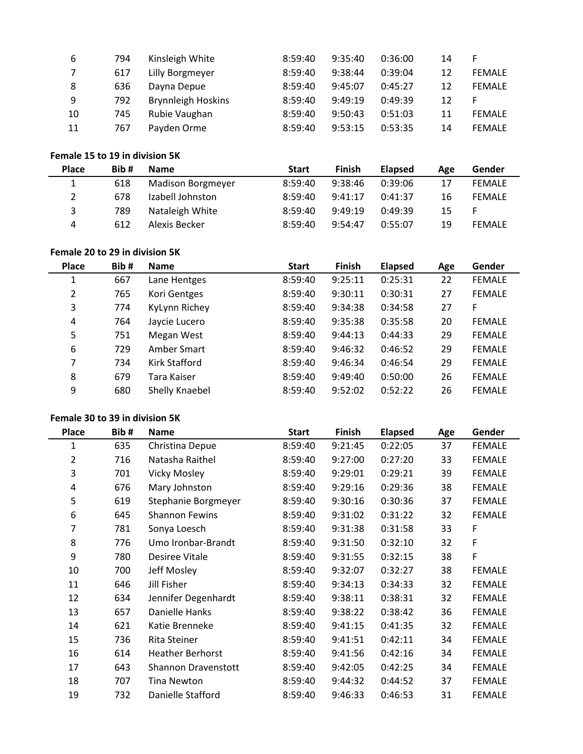| 6  | 794 | Kinsleigh White           | 8:59:40 | 9:35:40 | 0:36:00 | 14 | F             |
|----|-----|---------------------------|---------|---------|---------|----|---------------|
|    | 617 | Lilly Borgmeyer           | 8:59:40 | 9:38:44 | 0:39:04 | 12 | <b>FEMALE</b> |
| -8 | 636 | Dayna Depue               | 8:59:40 | 9:45:07 | 0:45:27 | 12 | <b>FEMALE</b> |
| 9  | 792 | <b>Brynnleigh Hoskins</b> | 8:59:40 | 9:49:19 | 0:49:39 | 12 | F             |
| 10 | 745 | Rubie Vaughan             | 8:59:40 | 9:50:43 | 0:51:03 | 11 | <b>FEMALE</b> |
| 11 | 767 | Payden Orme               | 8:59:40 | 9:53:15 | 0:53:35 | 14 | <b>FEMALE</b> |

#### **Female 15 to 19 in division 5K**

| <b>Place</b> | Bib# | <b>Name</b>              | <b>Start</b> | <b>Finish</b> | <b>Elapsed</b> | Age | Gender        |
|--------------|------|--------------------------|--------------|---------------|----------------|-----|---------------|
| 1            | 618  | <b>Madison Borgmeyer</b> | 8:59:40      | 9:38:46       | 0:39:06        | 17  | <b>FEMALE</b> |
| 2            | 678  | Izabell Johnston         | 8:59:40      | 9:41:17       | 0:41:37        | 16  | <b>FEMALE</b> |
| 3            | 789  | Nataleigh White          | 8:59:40      | 9:49:19       | 0:49:39        | 15  | F             |
| 4            | 612  | Alexis Becker            | 8:59:40      | 9:54:47       | 0:55:07        | 19  | <b>FEMALE</b> |

#### **Female 20 to 29 in division 5K**

| <b>Place</b> | Bib# | <b>Name</b>    | <b>Start</b> | <b>Finish</b> | <b>Elapsed</b> | Age | Gender        |
|--------------|------|----------------|--------------|---------------|----------------|-----|---------------|
| 1            | 667  | Lane Hentges   | 8:59:40      | 9:25:11       | 0:25:31        | 22  | <b>FEMALE</b> |
| 2            | 765  | Kori Gentges   | 8:59:40      | 9:30:11       | 0:30:31        | 27  | <b>FEMALE</b> |
| 3            | 774  | KyLynn Richey  | 8:59:40      | 9:34:38       | 0:34:58        | 27  | F             |
| 4            | 764  | Jaycie Lucero  | 8:59:40      | 9:35:38       | 0:35:58        | 20  | <b>FEMALE</b> |
| 5            | 751  | Megan West     | 8:59:40      | 9:44:13       | 0:44:33        | 29  | <b>FEMALE</b> |
| 6            | 729  | Amber Smart    | 8:59:40      | 9:46:32       | 0:46:52        | 29  | <b>FEMALE</b> |
| 7            | 734  | Kirk Stafford  | 8:59:40      | 9:46:34       | 0:46:54        | 29  | <b>FEMALE</b> |
| 8            | 679  | Tara Kaiser    | 8:59:40      | 9:49:40       | 0:50:00        | 26  | <b>FEMALE</b> |
| 9            | 680  | Shelly Knaebel | 8:59:40      | 9:52:02       | 0:52:22        | 26  | <b>FEMALE</b> |

#### **Female 30 to 39 in division 5K**

| <b>Place</b> | Bib# | <b>Name</b>             | <b>Start</b> | <b>Finish</b> | <b>Elapsed</b> | Age | Gender        |
|--------------|------|-------------------------|--------------|---------------|----------------|-----|---------------|
| 1            | 635  | Christina Depue         | 8:59:40      | 9:21:45       | 0:22:05        | 37  | <b>FEMALE</b> |
| 2            | 716  | Natasha Raithel         | 8:59:40      | 9:27:00       | 0:27:20        | 33  | <b>FEMALE</b> |
| 3            | 701  | <b>Vicky Mosley</b>     | 8:59:40      | 9:29:01       | 0:29:21        | 39  | <b>FEMALE</b> |
| 4            | 676  | Mary Johnston           | 8:59:40      | 9:29:16       | 0:29:36        | 38  | <b>FEMALE</b> |
| 5            | 619  | Stephanie Borgmeyer     | 8:59:40      | 9:30:16       | 0:30:36        | 37  | <b>FEMALE</b> |
| 6            | 645  | <b>Shannon Fewins</b>   | 8:59:40      | 9:31:02       | 0:31:22        | 32  | <b>FEMALE</b> |
| 7            | 781  | Sonya Loesch            | 8:59:40      | 9:31:38       | 0:31:58        | 33  | F             |
| 8            | 776  | Umo Ironbar-Brandt      | 8:59:40      | 9:31:50       | 0:32:10        | 32  | F             |
| 9            | 780  | Desiree Vitale          | 8:59:40      | 9:31:55       | 0:32:15        | 38  | F             |
| 10           | 700  | Jeff Mosley             | 8:59:40      | 9:32:07       | 0:32:27        | 38  | <b>FEMALE</b> |
| 11           | 646  | Jill Fisher             | 8:59:40      | 9:34:13       | 0:34:33        | 32  | <b>FEMALE</b> |
| 12           | 634  | Jennifer Degenhardt     | 8:59:40      | 9:38:11       | 0:38:31        | 32  | <b>FEMALE</b> |
| 13           | 657  | Danielle Hanks          | 8:59:40      | 9:38:22       | 0:38:42        | 36  | <b>FEMALE</b> |
| 14           | 621  | Katie Brenneke          | 8:59:40      | 9:41:15       | 0:41:35        | 32  | <b>FEMALE</b> |
| 15           | 736  | <b>Rita Steiner</b>     | 8:59:40      | 9:41:51       | 0:42:11        | 34  | <b>FEMALE</b> |
| 16           | 614  | <b>Heather Berhorst</b> | 8:59:40      | 9:41:56       | 0:42:16        | 34  | <b>FEMALE</b> |
| 17           | 643  | Shannon Dravenstott     | 8:59:40      | 9:42:05       | 0:42:25        | 34  | <b>FEMALE</b> |
| 18           | 707  | Tina Newton             | 8:59:40      | 9:44:32       | 0:44:52        | 37  | <b>FEMALE</b> |
| 19           | 732  | Danielle Stafford       | 8:59:40      | 9:46:33       | 0:46:53        | 31  | <b>FEMALE</b> |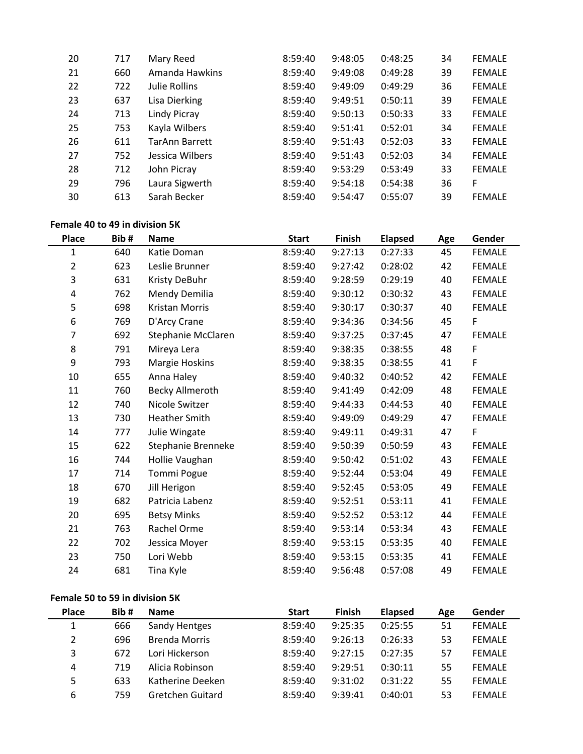| 20 | 717 | Mary Reed             | 8:59:40 | 9:48:05 | 0:48:25 | 34 | <b>FEMALE</b> |
|----|-----|-----------------------|---------|---------|---------|----|---------------|
| 21 | 660 | Amanda Hawkins        | 8:59:40 | 9:49:08 | 0:49:28 | 39 | <b>FEMALE</b> |
| 22 | 722 | <b>Julie Rollins</b>  | 8:59:40 | 9:49:09 | 0:49:29 | 36 | <b>FEMALE</b> |
| 23 | 637 | Lisa Dierking         | 8:59:40 | 9:49:51 | 0:50:11 | 39 | <b>FEMALE</b> |
| 24 | 713 | Lindy Picray          | 8:59:40 | 9:50:13 | 0:50:33 | 33 | <b>FEMALE</b> |
| 25 | 753 | Kayla Wilbers         | 8:59:40 | 9:51:41 | 0:52:01 | 34 | <b>FEMALE</b> |
| 26 | 611 | <b>TarAnn Barrett</b> | 8:59:40 | 9:51:43 | 0:52:03 | 33 | <b>FEMALE</b> |
| 27 | 752 | Jessica Wilbers       | 8:59:40 | 9:51:43 | 0:52:03 | 34 | <b>FEMALE</b> |
| 28 | 712 | John Picray           | 8:59:40 | 9:53:29 | 0:53:49 | 33 | <b>FEMALE</b> |
| 29 | 796 | Laura Sigwerth        | 8:59:40 | 9:54:18 | 0:54:38 | 36 | F             |
| 30 | 613 | Sarah Becker          | 8:59:40 | 9:54:47 | 0:55:07 | 39 | <b>FEMALE</b> |
|    |     |                       |         |         |         |    |               |

#### **Female 40 to 49 in division 5K**

| <b>Place</b>   | Bib# | <b>Name</b>            | <b>Start</b> | <b>Finish</b> | <b>Elapsed</b> | Age | Gender        |
|----------------|------|------------------------|--------------|---------------|----------------|-----|---------------|
| 1              | 640  | Katie Doman            | 8:59:40      | 9:27:13       | 0:27:33        | 45  | <b>FEMALE</b> |
| $\overline{2}$ | 623  | Leslie Brunner         | 8:59:40      | 9:27:42       | 0:28:02        | 42  | <b>FEMALE</b> |
| 3              | 631  | Kristy DeBuhr          | 8:59:40      | 9:28:59       | 0:29:19        | 40  | <b>FEMALE</b> |
| 4              | 762  | Mendy Demilia          | 8:59:40      | 9:30:12       | 0:30:32        | 43  | <b>FEMALE</b> |
| 5              | 698  | Kristan Morris         | 8:59:40      | 9:30:17       | 0:30:37        | 40  | <b>FEMALE</b> |
| 6              | 769  | D'Arcy Crane           | 8:59:40      | 9:34:36       | 0:34:56        | 45  | F             |
| 7              | 692  | Stephanie McClaren     | 8:59:40      | 9:37:25       | 0:37:45        | 47  | <b>FEMALE</b> |
| 8              | 791  | Mireya Lera            | 8:59:40      | 9:38:35       | 0:38:55        | 48  | F             |
| 9              | 793  | Margie Hoskins         | 8:59:40      | 9:38:35       | 0:38:55        | 41  | F             |
| 10             | 655  | Anna Haley             | 8:59:40      | 9:40:32       | 0:40:52        | 42  | <b>FEMALE</b> |
| 11             | 760  | <b>Becky Allmeroth</b> | 8:59:40      | 9:41:49       | 0:42:09        | 48  | <b>FEMALE</b> |
| 12             | 740  | Nicole Switzer         | 8:59:40      | 9:44:33       | 0:44:53        | 40  | <b>FEMALE</b> |
| 13             | 730  | <b>Heather Smith</b>   | 8:59:40      | 9:49:09       | 0:49:29        | 47  | <b>FEMALE</b> |
| 14             | 777  | Julie Wingate          | 8:59:40      | 9:49:11       | 0:49:31        | 47  | F             |
| 15             | 622  | Stephanie Brenneke     | 8:59:40      | 9:50:39       | 0:50:59        | 43  | <b>FEMALE</b> |
| 16             | 744  | Hollie Vaughan         | 8:59:40      | 9:50:42       | 0:51:02        | 43  | <b>FEMALE</b> |
| 17             | 714  | Tommi Pogue            | 8:59:40      | 9:52:44       | 0:53:04        | 49  | <b>FEMALE</b> |
| 18             | 670  | Jill Herigon           | 8:59:40      | 9:52:45       | 0:53:05        | 49  | <b>FEMALE</b> |
| 19             | 682  | Patricia Labenz        | 8:59:40      | 9:52:51       | 0:53:11        | 41  | <b>FEMALE</b> |
| 20             | 695  | <b>Betsy Minks</b>     | 8:59:40      | 9:52:52       | 0:53:12        | 44  | <b>FEMALE</b> |
| 21             | 763  | Rachel Orme            | 8:59:40      | 9:53:14       | 0:53:34        | 43  | <b>FEMALE</b> |
| 22             | 702  | Jessica Moyer          | 8:59:40      | 9:53:15       | 0:53:35        | 40  | <b>FEMALE</b> |
| 23             | 750  | Lori Webb              | 8:59:40      | 9:53:15       | 0:53:35        | 41  | <b>FEMALE</b> |
| 24             | 681  | Tina Kyle              | 8:59:40      | 9:56:48       | 0:57:08        | 49  | <b>FEMALE</b> |

#### **Female 50 to 59 in division 5K**

| <b>Place</b> | Bib# | <b>Name</b>             | <b>Start</b> | <b>Finish</b> | <b>Elapsed</b> | Age | Gender        |
|--------------|------|-------------------------|--------------|---------------|----------------|-----|---------------|
| 1            | 666  | Sandy Hentges           | 8:59:40      | 9:25:35       | 0:25:55        | 51  | <b>FEMALE</b> |
| 2            | 696  | <b>Brenda Morris</b>    | 8:59:40      | 9:26:13       | 0:26:33        | 53  | <b>FEMALE</b> |
| 3            | 672  | Lori Hickerson          | 8:59:40      | 9:27:15       | 0:27:35        | 57  | <b>FEMALE</b> |
| 4            | 719  | Alicia Robinson         | 8:59:40      | 9:29:51       | 0:30:11        | 55  | <b>FEMALE</b> |
| 5            | 633  | Katherine Deeken        | 8:59:40      | 9:31:02       | 0:31:22        | 55  | <b>FEMALE</b> |
| 6            | 759  | <b>Gretchen Guitard</b> | 8:59:40      | 9:39:41       | 0:40:01        | 53  | <b>FEMALE</b> |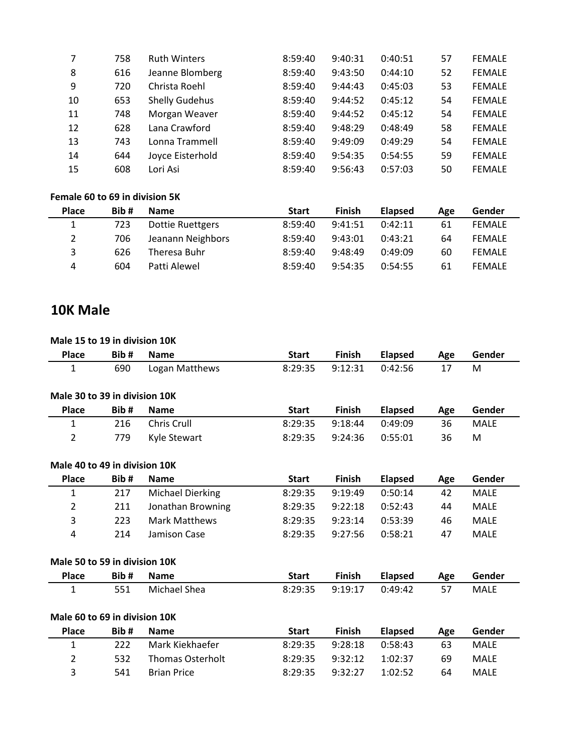| 758 | <b>Ruth Winters</b>   | 8:59:40 | 9:40:31 | 0:40:51 | 57 | <b>FEMALE</b> |
|-----|-----------------------|---------|---------|---------|----|---------------|
| 616 | Jeanne Blomberg       | 8:59:40 | 9:43:50 | 0:44:10 | 52 | <b>FEMALE</b> |
| 720 | Christa Roehl         | 8:59:40 | 9:44:43 | 0:45:03 | 53 | <b>FEMALE</b> |
| 653 | <b>Shelly Gudehus</b> | 8:59:40 | 9:44:52 | 0:45:12 | 54 | <b>FEMALE</b> |
| 748 | Morgan Weaver         | 8:59:40 | 9:44:52 | 0:45:12 | 54 | <b>FEMALE</b> |
| 628 | Lana Crawford         | 8:59:40 | 9:48:29 | 0:48:49 | 58 | <b>FEMALE</b> |
| 743 | Lonna Trammell        | 8:59:40 | 9:49:09 | 0:49:29 | 54 | <b>FEMALE</b> |
| 644 | Joyce Eisterhold      | 8:59:40 | 9:54:35 | 0:54:55 | 59 | <b>FEMALE</b> |
| 608 | Lori Asi              | 8:59:40 | 9:56:43 | 0:57:03 | 50 | <b>FEMALE</b> |
|     |                       |         |         |         |    |               |

#### **Female 60 to 69 in division 5K**

| <b>Place</b> | Bib# | <b>Name</b>       | <b>Start</b> | Finish  | <b>Elapsed</b> | Age | Gender        |
|--------------|------|-------------------|--------------|---------|----------------|-----|---------------|
| 1            | 723  | Dottie Ruettgers  | 8:59:40      | 9:41:51 | 0:42:11        | 61  | <b>FEMALE</b> |
| $\mathbf{2}$ | 706  | Jeanann Neighbors | 8:59:40      | 9:43:01 | 0:43:21        | 64  | <b>FEMALE</b> |
| 3            | 626  | Theresa Buhr      | 8:59:40      | 9:48:49 | 0:49:09        | 60  | <b>FEMALE</b> |
| 4            | 604  | Patti Alewel      | 8:59:40      | 9:54:35 | 0:54:55        | 61  | <b>FEMALE</b> |

### **10K Male**

#### **Male 15 to 19 in division 10K**

| <b>Place</b>                  | Bib# | <b>Name</b>             | <b>Start</b> | <b>Finish</b> | <b>Elapsed</b> | Age | Gender      |
|-------------------------------|------|-------------------------|--------------|---------------|----------------|-----|-------------|
| 1                             | 690  | Logan Matthews          | 8:29:35      | 9:12:31       | 0:42:56        | 17  | M           |
|                               |      |                         |              |               |                |     |             |
| Male 30 to 39 in division 10K |      |                         |              |               |                |     |             |
| <b>Place</b>                  | Bib# | <b>Name</b>             | <b>Start</b> | <b>Finish</b> | <b>Elapsed</b> | Age | Gender      |
| 1                             | 216  | Chris Crull             | 8:29:35      | 9:18:44       | 0:49:09        | 36  | <b>MALE</b> |
| $\overline{2}$                | 779  | Kyle Stewart            | 8:29:35      | 9:24:36       | 0:55:01        | 36  | M           |
|                               |      |                         |              |               |                |     |             |
| Male 40 to 49 in division 10K |      |                         |              |               |                |     |             |
| <b>Place</b>                  | Bib# | <b>Name</b>             | <b>Start</b> | <b>Finish</b> | <b>Elapsed</b> | Age | Gender      |
| 1                             | 217  | <b>Michael Dierking</b> | 8:29:35      | 9:19:49       | 0:50:14        | 42  | <b>MALE</b> |
| 2                             | 211  | Jonathan Browning       | 8:29:35      | 9:22:18       | 0:52:43        | 44  | <b>MALE</b> |
| 3                             | 223  | <b>Mark Matthews</b>    | 8:29:35      | 9:23:14       | 0:53:39        | 46  | <b>MALE</b> |
| 4                             | 214  | Jamison Case            | 8:29:35      | 9:27:56       | 0:58:21        | 47  | <b>MALE</b> |
| Male 50 to 59 in division 10K |      |                         |              |               |                |     |             |
|                               |      |                         |              |               |                |     |             |
| <b>Place</b>                  | Bib# | <b>Name</b>             | <b>Start</b> | <b>Finish</b> | <b>Elapsed</b> | Age | Gender      |
| 1                             | 551  | Michael Shea            | 8:29:35      | 9:19:17       | 0:49:42        | 57  | <b>MALE</b> |
| Male 60 to 69 in division 10K |      |                         |              |               |                |     |             |
| <b>Place</b>                  | Bib# | <b>Name</b>             | <b>Start</b> | <b>Finish</b> | <b>Elapsed</b> | Age | Gender      |
| 1                             | 222  | Mark Kiekhaefer         | 8:29:35      | 9:28:18       | 0:58:43        | 63  | <b>MALE</b> |
| 2                             | 532  | <b>Thomas Osterholt</b> | 8:29:35      | 9:32:12       | 1:02:37        | 69  | <b>MALE</b> |
| 3                             | 541  | <b>Brian Price</b>      | 8:29:35      | 9:32:27       | 1:02:52        | 64  | <b>MALE</b> |
|                               |      |                         |              |               |                |     |             |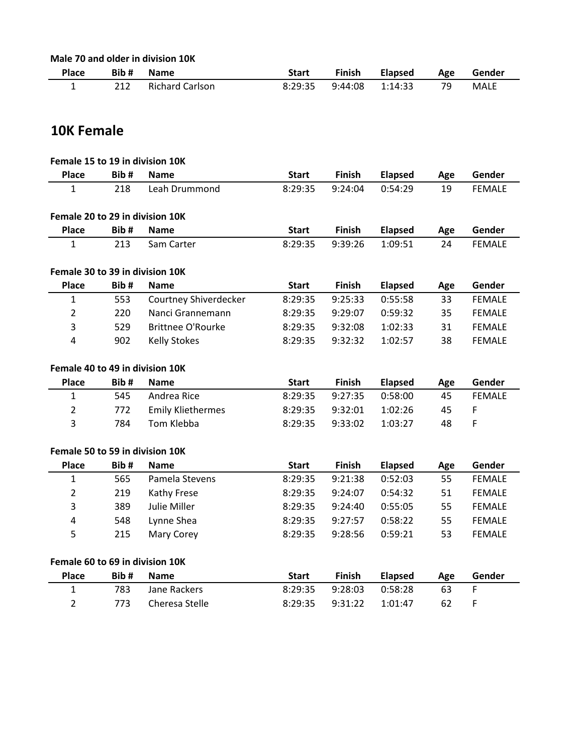| Male 70 and older in division 10K |
|-----------------------------------|
|-----------------------------------|

| <b>Place</b> | Bib# | <b>Name</b>            | Start   | <b>Finish</b> | <b>Elapsed</b> | Age | Gender      |  |
|--------------|------|------------------------|---------|---------------|----------------|-----|-------------|--|
|              | 212  | <b>Richard Carlson</b> | 8:29:35 | 9:44:08       | 1:14:33        | 79  | <b>MALE</b> |  |

## **10K Female**

|                                 | Female 15 to 19 in division 10K |                          |              |               |                |     |               |  |  |  |  |
|---------------------------------|---------------------------------|--------------------------|--------------|---------------|----------------|-----|---------------|--|--|--|--|
| <b>Place</b>                    | Bib#                            | <b>Name</b>              | <b>Start</b> | <b>Finish</b> | <b>Elapsed</b> | Age | Gender        |  |  |  |  |
| 1                               | 218                             | Leah Drummond            | 8:29:35      | 9:24:04       | 0:54:29        | 19  | <b>FEMALE</b> |  |  |  |  |
|                                 |                                 |                          |              |               |                |     |               |  |  |  |  |
| Female 20 to 29 in division 10K |                                 |                          |              |               |                |     |               |  |  |  |  |
| <b>Place</b>                    | Bib#                            | <b>Name</b>              | <b>Start</b> | <b>Finish</b> | <b>Elapsed</b> | Age | Gender        |  |  |  |  |
| 1                               | 213                             | Sam Carter               | 8:29:35      | 9:39:26       | 1:09:51        | 24  | <b>FEMALE</b> |  |  |  |  |
| Female 30 to 39 in division 10K |                                 |                          |              |               |                |     |               |  |  |  |  |
| <b>Place</b>                    | Bib#                            | <b>Name</b>              | <b>Start</b> | Finish        | <b>Elapsed</b> | Age | Gender        |  |  |  |  |
| $\mathbf{1}$                    | 553                             | Courtney Shiverdecker    | 8:29:35      | 9:25:33       | 0:55:58        | 33  | <b>FEMALE</b> |  |  |  |  |
| $\overline{2}$                  | 220                             | Nanci Grannemann         | 8:29:35      | 9:29:07       | 0:59:32        | 35  | <b>FEMALE</b> |  |  |  |  |
| 3                               | 529                             | <b>Brittnee O'Rourke</b> | 8:29:35      | 9:32:08       | 1:02:33        | 31  | <b>FEMALE</b> |  |  |  |  |
| 4                               | 902                             | <b>Kelly Stokes</b>      | 8:29:35      | 9:32:32       | 1:02:57        | 38  | <b>FEMALE</b> |  |  |  |  |
|                                 | Female 40 to 49 in division 10K |                          |              |               |                |     |               |  |  |  |  |
|                                 |                                 |                          |              |               |                |     |               |  |  |  |  |
| <b>Place</b>                    | Bib#                            | <b>Name</b>              | <b>Start</b> | <b>Finish</b> | <b>Elapsed</b> | Age | Gender        |  |  |  |  |
| $\mathbf{1}$                    | 545                             | Andrea Rice              | 8:29:35      | 9:27:35       | 0:58:00        | 45  | <b>FEMALE</b> |  |  |  |  |
| $\overline{2}$                  | 772                             | <b>Emily Kliethermes</b> | 8:29:35      | 9:32:01       | 1:02:26        | 45  | F             |  |  |  |  |
| 3                               | 784                             | Tom Klebba               | 8:29:35      | 9:33:02       | 1:03:27        | 48  | F             |  |  |  |  |
| Female 50 to 59 in division 10K |                                 |                          |              |               |                |     |               |  |  |  |  |
| Place                           | Bib#                            | <b>Name</b>              | <b>Start</b> | Finish        | <b>Elapsed</b> | Age | Gender        |  |  |  |  |
| $\mathbf{1}$                    | 565                             | Pamela Stevens           | 8:29:35      | 9:21:38       | 0:52:03        | 55  | <b>FEMALE</b> |  |  |  |  |
| $\overline{2}$                  | 219                             | Kathy Frese              | 8:29:35      | 9:24:07       | 0:54:32        | 51  | <b>FEMALE</b> |  |  |  |  |
| 3                               | 389                             | Julie Miller             | 8:29:35      | 9:24:40       | 0:55:05        | 55  | <b>FEMALE</b> |  |  |  |  |
| 4                               | 548                             | Lynne Shea               | 8:29:35      | 9:27:57       | 0:58:22        | 55  | <b>FEMALE</b> |  |  |  |  |
| 5                               | 215                             | Mary Corey               | 8:29:35      | 9:28:56       | 0:59:21        | 53  | <b>FEMALE</b> |  |  |  |  |
| Female 60 to 69 in division 10K |                                 |                          |              |               |                |     |               |  |  |  |  |
| Place                           | Bib#                            | <b>Name</b>              | <b>Start</b> | <b>Finish</b> | <b>Elapsed</b> | Age | Gender        |  |  |  |  |
| $\mathbf{1}$                    | 783                             | Jane Rackers             | 8:29:35      | 9:28:03       | 0:58:28        | 63  | F             |  |  |  |  |
| $\overline{2}$                  | 773                             | Cheresa Stelle           | 8:29:35      | 9:31:22       | 1:01:47        | 62  | F             |  |  |  |  |
|                                 |                                 |                          |              |               |                |     |               |  |  |  |  |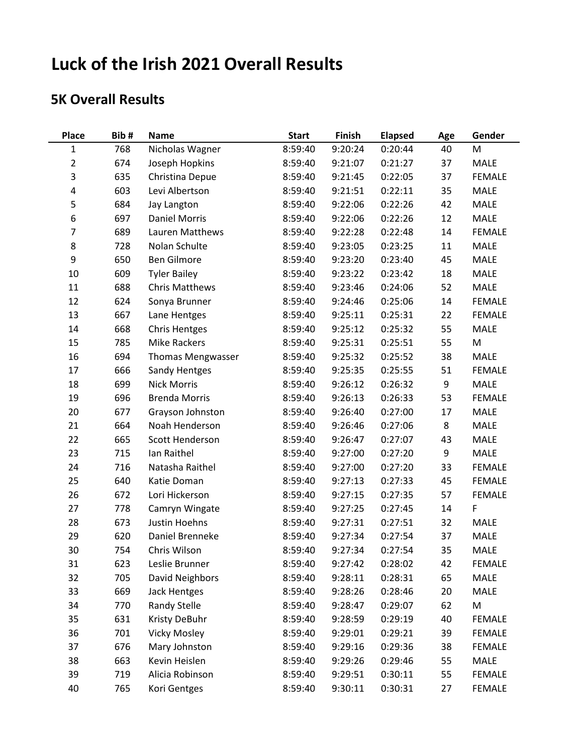# **Luck of the Irish 2021 Overall Results**

## **5K Overall Results**

| <b>Place</b>   | Bib# | <b>Name</b>              | <b>Start</b> | Finish  | <b>Elapsed</b> | Age | Gender        |
|----------------|------|--------------------------|--------------|---------|----------------|-----|---------------|
| $\mathbf{1}$   | 768  | Nicholas Wagner          | 8:59:40      | 9:20:24 | 0:20:44        | 40  | M             |
| $\overline{2}$ | 674  | Joseph Hopkins           | 8:59:40      | 9:21:07 | 0:21:27        | 37  | MALE          |
| 3              | 635  | Christina Depue          | 8:59:40      | 9:21:45 | 0:22:05        | 37  | <b>FEMALE</b> |
| 4              | 603  | Levi Albertson           | 8:59:40      | 9:21:51 | 0:22:11        | 35  | <b>MALE</b>   |
| 5              | 684  | Jay Langton              | 8:59:40      | 9:22:06 | 0:22:26        | 42  | <b>MALE</b>   |
| 6              | 697  | <b>Daniel Morris</b>     | 8:59:40      | 9:22:06 | 0:22:26        | 12  | <b>MALE</b>   |
| $\overline{7}$ | 689  | Lauren Matthews          | 8:59:40      | 9:22:28 | 0:22:48        | 14  | <b>FEMALE</b> |
| 8              | 728  | Nolan Schulte            | 8:59:40      | 9:23:05 | 0:23:25        | 11  | MALE          |
| 9              | 650  | <b>Ben Gilmore</b>       | 8:59:40      | 9:23:20 | 0:23:40        | 45  | MALE          |
| 10             | 609  | <b>Tyler Bailey</b>      | 8:59:40      | 9:23:22 | 0:23:42        | 18  | MALE          |
| 11             | 688  | <b>Chris Matthews</b>    | 8:59:40      | 9:23:46 | 0:24:06        | 52  | MALE          |
| 12             | 624  | Sonya Brunner            | 8:59:40      | 9:24:46 | 0:25:06        | 14  | <b>FEMALE</b> |
| 13             | 667  | Lane Hentges             | 8:59:40      | 9:25:11 | 0:25:31        | 22  | <b>FEMALE</b> |
| 14             | 668  | <b>Chris Hentges</b>     | 8:59:40      | 9:25:12 | 0:25:32        | 55  | MALE          |
| 15             | 785  | <b>Mike Rackers</b>      | 8:59:40      | 9:25:31 | 0:25:51        | 55  | M             |
| 16             | 694  | <b>Thomas Mengwasser</b> | 8:59:40      | 9:25:32 | 0:25:52        | 38  | MALE          |
| 17             | 666  | Sandy Hentges            | 8:59:40      | 9:25:35 | 0:25:55        | 51  | <b>FEMALE</b> |
| 18             | 699  | <b>Nick Morris</b>       | 8:59:40      | 9:26:12 | 0:26:32        | 9   | MALE          |
| 19             | 696  | <b>Brenda Morris</b>     | 8:59:40      | 9:26:13 | 0:26:33        | 53  | <b>FEMALE</b> |
| 20             | 677  | Grayson Johnston         | 8:59:40      | 9:26:40 | 0:27:00        | 17  | MALE          |
| 21             | 664  | Noah Henderson           | 8:59:40      | 9:26:46 | 0:27:06        | 8   | <b>MALE</b>   |
| 22             | 665  | Scott Henderson          | 8:59:40      | 9:26:47 | 0:27:07        | 43  | MALE          |
| 23             | 715  | Ian Raithel              | 8:59:40      | 9:27:00 | 0:27:20        | 9   | MALE          |
| 24             | 716  | Natasha Raithel          | 8:59:40      | 9:27:00 | 0:27:20        | 33  | <b>FEMALE</b> |
| 25             | 640  | Katie Doman              | 8:59:40      | 9:27:13 | 0:27:33        | 45  | <b>FEMALE</b> |
| 26             | 672  | Lori Hickerson           | 8:59:40      | 9:27:15 | 0:27:35        | 57  | <b>FEMALE</b> |
| 27             | 778  | Camryn Wingate           | 8:59:40      | 9:27:25 | 0:27:45        | 14  | F             |
| 28             | 673  | Justin Hoehns            | 8:59:40      | 9:27:31 | 0:27:51        | 32  | MALE          |
| 29             | 620  | Daniel Brenneke          | 8:59:40      | 9:27:34 | 0:27:54        | 37  | MALE          |
| 30             | 754  | Chris Wilson             | 8:59:40      | 9:27:34 | 0:27:54        | 35  | <b>MALE</b>   |
| 31             | 623  | Leslie Brunner           | 8:59:40      | 9:27:42 | 0:28:02        | 42  | <b>FEMALE</b> |
| 32             | 705  | David Neighbors          | 8:59:40      | 9:28:11 | 0:28:31        | 65  | MALE          |
| 33             | 669  | <b>Jack Hentges</b>      | 8:59:40      | 9:28:26 | 0:28:46        | 20  | <b>MALE</b>   |
| 34             | 770  | Randy Stelle             | 8:59:40      | 9:28:47 | 0:29:07        | 62  | M             |
| 35             | 631  | Kristy DeBuhr            | 8:59:40      | 9:28:59 | 0:29:19        | 40  | <b>FEMALE</b> |
| 36             | 701  | <b>Vicky Mosley</b>      | 8:59:40      | 9:29:01 | 0:29:21        | 39  | <b>FEMALE</b> |
| 37             | 676  | Mary Johnston            | 8:59:40      | 9:29:16 | 0:29:36        | 38  | <b>FEMALE</b> |
| 38             | 663  | Kevin Heislen            | 8:59:40      | 9:29:26 | 0:29:46        | 55  | MALE          |
| 39             | 719  | Alicia Robinson          | 8:59:40      | 9:29:51 | 0:30:11        | 55  | <b>FEMALE</b> |
| 40             | 765  | Kori Gentges             | 8:59:40      | 9:30:11 | 0:30:31        | 27  | <b>FEMALE</b> |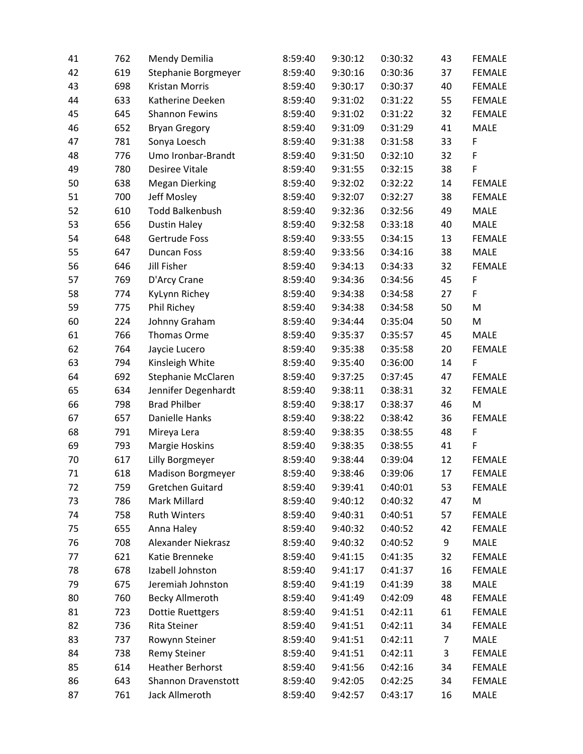| 41 | 762 | Mendy Demilia             | 8:59:40 | 9:30:12 | 0:30:32 | 43 | <b>FEMALE</b> |
|----|-----|---------------------------|---------|---------|---------|----|---------------|
| 42 | 619 | Stephanie Borgmeyer       | 8:59:40 | 9:30:16 | 0:30:36 | 37 | <b>FEMALE</b> |
| 43 | 698 | <b>Kristan Morris</b>     | 8:59:40 | 9:30:17 | 0:30:37 | 40 | <b>FEMALE</b> |
| 44 | 633 | Katherine Deeken          | 8:59:40 | 9:31:02 | 0:31:22 | 55 | <b>FEMALE</b> |
| 45 | 645 | <b>Shannon Fewins</b>     | 8:59:40 | 9:31:02 | 0:31:22 | 32 | <b>FEMALE</b> |
| 46 | 652 | <b>Bryan Gregory</b>      | 8:59:40 | 9:31:09 | 0:31:29 | 41 | MALE          |
| 47 | 781 | Sonya Loesch              | 8:59:40 | 9:31:38 | 0:31:58 | 33 | F             |
| 48 | 776 | Umo Ironbar-Brandt        | 8:59:40 | 9:31:50 | 0:32:10 | 32 | $\mathsf F$   |
| 49 | 780 | <b>Desiree Vitale</b>     | 8:59:40 | 9:31:55 | 0:32:15 | 38 | $\mathsf F$   |
| 50 | 638 | <b>Megan Dierking</b>     | 8:59:40 | 9:32:02 | 0:32:22 | 14 | <b>FEMALE</b> |
| 51 | 700 | Jeff Mosley               | 8:59:40 | 9:32:07 | 0:32:27 | 38 | <b>FEMALE</b> |
| 52 | 610 | <b>Todd Balkenbush</b>    | 8:59:40 | 9:32:36 | 0:32:56 | 49 | MALE          |
| 53 | 656 | <b>Dustin Haley</b>       | 8:59:40 | 9:32:58 | 0:33:18 | 40 | MALE          |
| 54 | 648 | Gertrude Foss             | 8:59:40 | 9:33:55 | 0:34:15 | 13 | <b>FEMALE</b> |
| 55 | 647 | <b>Duncan Foss</b>        | 8:59:40 | 9:33:56 | 0:34:16 | 38 | MALE          |
| 56 | 646 | <b>Jill Fisher</b>        | 8:59:40 | 9:34:13 | 0:34:33 | 32 | <b>FEMALE</b> |
| 57 | 769 | D'Arcy Crane              | 8:59:40 | 9:34:36 | 0:34:56 | 45 | $\mathsf F$   |
| 58 | 774 | KyLynn Richey             | 8:59:40 | 9:34:38 | 0:34:58 | 27 | F             |
| 59 | 775 | Phil Richey               | 8:59:40 | 9:34:38 | 0:34:58 | 50 | M             |
| 60 | 224 | Johnny Graham             | 8:59:40 | 9:34:44 | 0:35:04 | 50 | M             |
| 61 | 766 | Thomas Orme               | 8:59:40 | 9:35:37 | 0:35:57 | 45 | MALE          |
| 62 | 764 | Jaycie Lucero             | 8:59:40 | 9:35:38 | 0:35:58 | 20 | <b>FEMALE</b> |
| 63 | 794 | Kinsleigh White           | 8:59:40 | 9:35:40 | 0:36:00 | 14 | F             |
| 64 | 692 | Stephanie McClaren        | 8:59:40 | 9:37:25 | 0:37:45 | 47 | <b>FEMALE</b> |
| 65 | 634 | Jennifer Degenhardt       | 8:59:40 | 9:38:11 | 0:38:31 | 32 | <b>FEMALE</b> |
| 66 | 798 | <b>Brad Philber</b>       | 8:59:40 | 9:38:17 | 0:38:37 | 46 | M             |
| 67 | 657 | Danielle Hanks            | 8:59:40 | 9:38:22 | 0:38:42 | 36 | <b>FEMALE</b> |
| 68 | 791 | Mireya Lera               | 8:59:40 | 9:38:35 | 0:38:55 | 48 | $\mathsf F$   |
| 69 | 793 | Margie Hoskins            | 8:59:40 | 9:38:35 | 0:38:55 | 41 | $\mathsf F$   |
| 70 | 617 | Lilly Borgmeyer           | 8:59:40 | 9:38:44 | 0:39:04 | 12 | <b>FEMALE</b> |
| 71 | 618 | <b>Madison Borgmeyer</b>  | 8:59:40 | 9:38:46 | 0:39:06 | 17 | <b>FEMALE</b> |
| 72 | 759 | Gretchen Guitard          | 8:59:40 | 9:39:41 | 0:40:01 | 53 | <b>FEMALE</b> |
| 73 | 786 | Mark Millard              | 8:59:40 | 9:40:12 | 0:40:32 | 47 | M             |
| 74 | 758 | <b>Ruth Winters</b>       | 8:59:40 | 9:40:31 | 0:40:51 | 57 | <b>FEMALE</b> |
| 75 | 655 | Anna Haley                | 8:59:40 | 9:40:32 | 0:40:52 | 42 | <b>FEMALE</b> |
| 76 | 708 | <b>Alexander Niekrasz</b> | 8:59:40 | 9:40:32 | 0:40:52 | 9  | MALE          |
| 77 | 621 | Katie Brenneke            | 8:59:40 | 9:41:15 | 0:41:35 | 32 | <b>FEMALE</b> |
| 78 | 678 | Izabell Johnston          | 8:59:40 | 9:41:17 | 0:41:37 | 16 | <b>FEMALE</b> |
| 79 | 675 | Jeremiah Johnston         | 8:59:40 | 9:41:19 | 0:41:39 | 38 | MALE          |
| 80 | 760 | <b>Becky Allmeroth</b>    | 8:59:40 | 9:41:49 | 0:42:09 | 48 | <b>FEMALE</b> |
| 81 | 723 | <b>Dottie Ruettgers</b>   | 8:59:40 | 9:41:51 | 0:42:11 | 61 | <b>FEMALE</b> |
| 82 | 736 | Rita Steiner              | 8:59:40 | 9:41:51 | 0:42:11 | 34 | <b>FEMALE</b> |
| 83 | 737 | Rowynn Steiner            | 8:59:40 | 9:41:51 | 0:42:11 | 7  | MALE          |
| 84 | 738 | <b>Remy Steiner</b>       | 8:59:40 | 9:41:51 | 0:42:11 | 3  | <b>FEMALE</b> |
| 85 | 614 | <b>Heather Berhorst</b>   | 8:59:40 | 9:41:56 | 0:42:16 | 34 | FEMALE        |
| 86 | 643 | Shannon Dravenstott       | 8:59:40 | 9:42:05 | 0:42:25 | 34 | <b>FEMALE</b> |
| 87 | 761 | Jack Allmeroth            | 8:59:40 | 9:42:57 | 0:43:17 | 16 | MALE          |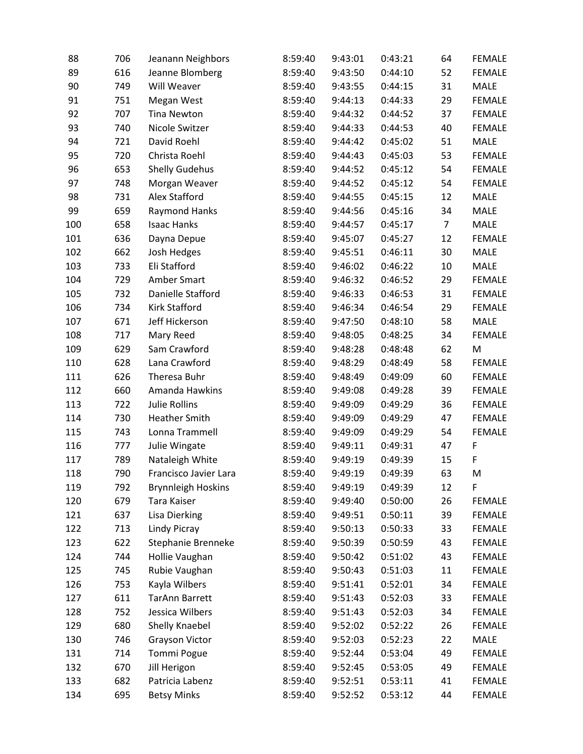| 88  | 706 | Jeanann Neighbors         | 8:59:40 | 9:43:01 | 0:43:21 | 64             | <b>FEMALE</b> |
|-----|-----|---------------------------|---------|---------|---------|----------------|---------------|
| 89  | 616 | Jeanne Blomberg           | 8:59:40 | 9:43:50 | 0:44:10 | 52             | <b>FEMALE</b> |
| 90  | 749 | Will Weaver               | 8:59:40 | 9:43:55 | 0:44:15 | 31             | <b>MALE</b>   |
| 91  | 751 | Megan West                | 8:59:40 | 9:44:13 | 0:44:33 | 29             | <b>FEMALE</b> |
| 92  | 707 | <b>Tina Newton</b>        | 8:59:40 | 9:44:32 | 0:44:52 | 37             | <b>FEMALE</b> |
| 93  | 740 | Nicole Switzer            | 8:59:40 | 9:44:33 | 0:44:53 | 40             | <b>FEMALE</b> |
| 94  | 721 | David Roehl               | 8:59:40 | 9:44:42 | 0:45:02 | 51             | <b>MALE</b>   |
| 95  | 720 | Christa Roehl             | 8:59:40 | 9:44:43 | 0:45:03 | 53             | <b>FEMALE</b> |
| 96  | 653 | <b>Shelly Gudehus</b>     | 8:59:40 | 9:44:52 | 0:45:12 | 54             | <b>FEMALE</b> |
| 97  | 748 | Morgan Weaver             | 8:59:40 | 9:44:52 | 0:45:12 | 54             | <b>FEMALE</b> |
| 98  | 731 | Alex Stafford             | 8:59:40 | 9:44:55 | 0:45:15 | 12             | <b>MALE</b>   |
| 99  | 659 | <b>Raymond Hanks</b>      | 8:59:40 | 9:44:56 | 0:45:16 | 34             | MALE          |
| 100 | 658 | <b>Isaac Hanks</b>        | 8:59:40 | 9:44:57 | 0:45:17 | $\overline{7}$ | MALE          |
| 101 | 636 | Dayna Depue               | 8:59:40 | 9:45:07 | 0:45:27 | 12             | <b>FEMALE</b> |
| 102 | 662 | Josh Hedges               | 8:59:40 | 9:45:51 | 0:46:11 | 30             | <b>MALE</b>   |
| 103 | 733 | Eli Stafford              | 8:59:40 | 9:46:02 | 0:46:22 | 10             | <b>MALE</b>   |
| 104 | 729 | Amber Smart               | 8:59:40 | 9:46:32 | 0:46:52 | 29             | <b>FEMALE</b> |
| 105 | 732 | Danielle Stafford         | 8:59:40 | 9:46:33 | 0:46:53 | 31             | <b>FEMALE</b> |
| 106 | 734 | Kirk Stafford             | 8:59:40 | 9:46:34 | 0:46:54 | 29             | <b>FEMALE</b> |
| 107 | 671 | Jeff Hickerson            | 8:59:40 | 9:47:50 | 0:48:10 | 58             | MALE          |
| 108 | 717 | Mary Reed                 | 8:59:40 | 9:48:05 | 0:48:25 | 34             | <b>FEMALE</b> |
| 109 | 629 | Sam Crawford              | 8:59:40 | 9:48:28 | 0:48:48 | 62             | M             |
| 110 | 628 | Lana Crawford             | 8:59:40 | 9:48:29 | 0:48:49 | 58             | <b>FEMALE</b> |
| 111 | 626 | Theresa Buhr              | 8:59:40 | 9:48:49 | 0:49:09 | 60             | <b>FEMALE</b> |
| 112 | 660 | Amanda Hawkins            | 8:59:40 | 9:49:08 | 0:49:28 | 39             | <b>FEMALE</b> |
| 113 | 722 | <b>Julie Rollins</b>      | 8:59:40 | 9:49:09 | 0:49:29 | 36             | <b>FEMALE</b> |
| 114 | 730 | <b>Heather Smith</b>      | 8:59:40 | 9:49:09 | 0:49:29 | 47             | <b>FEMALE</b> |
| 115 | 743 | Lonna Trammell            | 8:59:40 | 9:49:09 | 0:49:29 | 54             | <b>FEMALE</b> |
| 116 | 777 | Julie Wingate             | 8:59:40 | 9:49:11 | 0:49:31 | 47             | F             |
| 117 | 789 | Nataleigh White           | 8:59:40 | 9:49:19 | 0:49:39 | 15             | F             |
| 118 | 790 | Francisco Javier Lara     | 8:59:40 | 9:49:19 | 0:49:39 | 63             | M             |
| 119 | 792 | <b>Brynnleigh Hoskins</b> | 8:59:40 | 9:49:19 | 0:49:39 | 12             | F             |
| 120 | 679 | Tara Kaiser               | 8:59:40 | 9:49:40 | 0:50:00 | 26             | <b>FEMALE</b> |
| 121 | 637 | <b>Lisa Dierking</b>      | 8:59:40 | 9:49:51 | 0:50:11 | 39             | <b>FEMALE</b> |
| 122 | 713 | Lindy Picray              | 8:59:40 | 9:50:13 | 0:50:33 | 33             | <b>FEMALE</b> |
| 123 | 622 | Stephanie Brenneke        | 8:59:40 | 9:50:39 | 0:50:59 | 43             | <b>FEMALE</b> |
| 124 | 744 | Hollie Vaughan            | 8:59:40 | 9:50:42 | 0:51:02 | 43             | <b>FEMALE</b> |
| 125 | 745 | Rubie Vaughan             | 8:59:40 | 9:50:43 | 0:51:03 | 11             | <b>FEMALE</b> |
| 126 | 753 | Kayla Wilbers             | 8:59:40 | 9:51:41 | 0:52:01 | 34             | <b>FEMALE</b> |
| 127 | 611 | <b>TarAnn Barrett</b>     | 8:59:40 | 9:51:43 | 0:52:03 | 33             | <b>FEMALE</b> |
| 128 | 752 | Jessica Wilbers           | 8:59:40 | 9:51:43 | 0:52:03 | 34             | <b>FEMALE</b> |
| 129 | 680 | Shelly Knaebel            | 8:59:40 | 9:52:02 | 0:52:22 | 26             | <b>FEMALE</b> |
| 130 | 746 | <b>Grayson Victor</b>     | 8:59:40 | 9:52:03 | 0:52:23 | 22             | MALE          |
| 131 | 714 | <b>Tommi Pogue</b>        | 8:59:40 | 9:52:44 | 0:53:04 | 49             | <b>FEMALE</b> |
| 132 | 670 | Jill Herigon              | 8:59:40 | 9:52:45 | 0:53:05 | 49             | <b>FEMALE</b> |
| 133 | 682 | Patricia Labenz           | 8:59:40 | 9:52:51 | 0:53:11 | 41             | <b>FEMALE</b> |
| 134 | 695 | <b>Betsy Minks</b>        | 8:59:40 | 9:52:52 | 0:53:12 | 44             | <b>FEMALE</b> |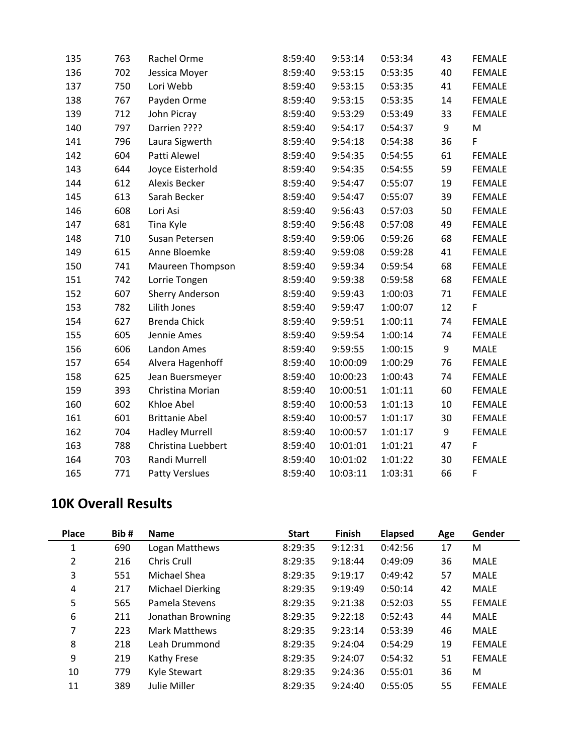| 135 | 763 | Rachel Orme            | 8:59:40 | 9:53:14  | 0:53:34 | 43 | <b>FEMALE</b> |
|-----|-----|------------------------|---------|----------|---------|----|---------------|
| 136 | 702 | Jessica Moyer          | 8:59:40 | 9:53:15  | 0:53:35 | 40 | <b>FEMALE</b> |
| 137 | 750 | Lori Webb              | 8:59:40 | 9:53:15  | 0:53:35 | 41 | <b>FEMALE</b> |
| 138 | 767 | Payden Orme            | 8:59:40 | 9:53:15  | 0:53:35 | 14 | <b>FEMALE</b> |
| 139 | 712 | John Picray            | 8:59:40 | 9:53:29  | 0:53:49 | 33 | <b>FEMALE</b> |
| 140 | 797 | Darrien ????           | 8:59:40 | 9:54:17  | 0:54:37 | 9  | M             |
| 141 | 796 | Laura Sigwerth         | 8:59:40 | 9:54:18  | 0:54:38 | 36 | F             |
| 142 | 604 | Patti Alewel           | 8:59:40 | 9:54:35  | 0:54:55 | 61 | <b>FEMALE</b> |
| 143 | 644 | Joyce Eisterhold       | 8:59:40 | 9:54:35  | 0:54:55 | 59 | <b>FEMALE</b> |
| 144 | 612 | Alexis Becker          | 8:59:40 | 9:54:47  | 0:55:07 | 19 | <b>FEMALE</b> |
| 145 | 613 | Sarah Becker           | 8:59:40 | 9:54:47  | 0:55:07 | 39 | <b>FEMALE</b> |
| 146 | 608 | Lori Asi               | 8:59:40 | 9:56:43  | 0:57:03 | 50 | <b>FEMALE</b> |
| 147 | 681 | Tina Kyle              | 8:59:40 | 9:56:48  | 0:57:08 | 49 | <b>FEMALE</b> |
| 148 | 710 | Susan Petersen         | 8:59:40 | 9:59:06  | 0:59:26 | 68 | <b>FEMALE</b> |
| 149 | 615 | Anne Bloemke           | 8:59:40 | 9:59:08  | 0:59:28 | 41 | <b>FEMALE</b> |
| 150 | 741 | Maureen Thompson       | 8:59:40 | 9:59:34  | 0:59:54 | 68 | <b>FEMALE</b> |
| 151 | 742 | Lorrie Tongen          | 8:59:40 | 9:59:38  | 0:59:58 | 68 | <b>FEMALE</b> |
| 152 | 607 | <b>Sherry Anderson</b> | 8:59:40 | 9:59:43  | 1:00:03 | 71 | <b>FEMALE</b> |
| 153 | 782 | Lilith Jones           | 8:59:40 | 9:59:47  | 1:00:07 | 12 | F             |
| 154 | 627 | <b>Brenda Chick</b>    | 8:59:40 | 9:59:51  | 1:00:11 | 74 | <b>FEMALE</b> |
| 155 | 605 | Jennie Ames            | 8:59:40 | 9:59:54  | 1:00:14 | 74 | <b>FEMALE</b> |
| 156 | 606 | Landon Ames            | 8:59:40 | 9:59:55  | 1:00:15 | 9  | MALE          |
| 157 | 654 | Alvera Hagenhoff       | 8:59:40 | 10:00:09 | 1:00:29 | 76 | <b>FEMALE</b> |
| 158 | 625 | Jean Buersmeyer        | 8:59:40 | 10:00:23 | 1:00:43 | 74 | <b>FEMALE</b> |
| 159 | 393 | Christina Morian       | 8:59:40 | 10:00:51 | 1:01:11 | 60 | <b>FEMALE</b> |
| 160 | 602 | Khloe Abel             | 8:59:40 | 10:00:53 | 1:01:13 | 10 | <b>FEMALE</b> |
| 161 | 601 | <b>Brittanie Abel</b>  | 8:59:40 | 10:00:57 | 1:01:17 | 30 | FEMALE        |
| 162 | 704 | <b>Hadley Murrell</b>  | 8:59:40 | 10:00:57 | 1:01:17 | 9  | <b>FEMALE</b> |
| 163 | 788 | Christina Luebbert     | 8:59:40 | 10:01:01 | 1:01:21 | 47 | $\mathsf F$   |
| 164 | 703 | Randi Murrell          | 8:59:40 | 10:01:02 | 1:01:22 | 30 | <b>FEMALE</b> |
| 165 | 771 | <b>Patty Verslues</b>  | 8:59:40 | 10:03:11 | 1:03:31 | 66 | F             |

## **10K Overall Results**

| <b>Place</b>   | Bib# | <b>Name</b>             | <b>Start</b> | <b>Finish</b> | <b>Elapsed</b> | Age | Gender        |
|----------------|------|-------------------------|--------------|---------------|----------------|-----|---------------|
| 1              | 690  | Logan Matthews          | 8:29:35      | 9:12:31       | 0:42:56        | 17  | М             |
| $\overline{2}$ | 216  | Chris Crull             | 8:29:35      | 9:18:44       | 0:49:09        | 36  | <b>MALE</b>   |
| 3              | 551  | Michael Shea            | 8:29:35      | 9:19:17       | 0:49:42        | 57  | <b>MALE</b>   |
| 4              | 217  | <b>Michael Dierking</b> | 8:29:35      | 9:19:49       | 0:50:14        | 42  | <b>MALE</b>   |
| 5              | 565  | Pamela Stevens          | 8:29:35      | 9:21:38       | 0:52:03        | 55  | <b>FEMALE</b> |
| 6              | 211  | Jonathan Browning       | 8:29:35      | 9:22:18       | 0:52:43        | 44  | <b>MALE</b>   |
| 7              | 223  | Mark Matthews           | 8:29:35      | 9:23:14       | 0:53:39        | 46  | <b>MALE</b>   |
| 8              | 218  | Leah Drummond           | 8:29:35      | 9:24:04       | 0:54:29        | 19  | <b>FEMALE</b> |
| 9              | 219  | Kathy Frese             | 8:29:35      | 9:24:07       | 0:54:32        | 51  | <b>FEMALE</b> |
| 10             | 779  | Kyle Stewart            | 8:29:35      | 9:24:36       | 0:55:01        | 36  | M             |
| 11             | 389  | Julie Miller            | 8:29:35      | 9:24:40       | 0:55:05        | 55  | <b>FEMALE</b> |